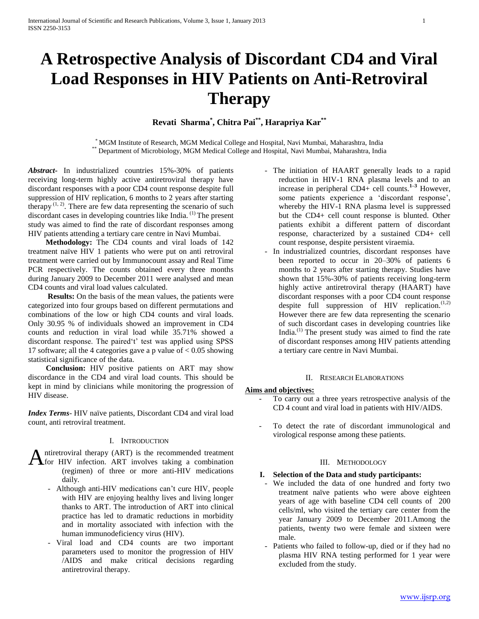# **A Retrospective Analysis of Discordant CD4 and Viral Load Responses in HIV Patients on Anti-Retroviral Therapy**

**Revati Sharma\* , Chitra Pai\*\* , Harapriya Kar\*\***

\* MGM Institute of Research, MGM Medical College and Hospital, Navi Mumbai, Maharashtra, India \*\* Department of Microbiology, MGM Medical College and Hospital, Navi Mumbai, Maharashtra, India

*Abstract***-** In industrialized countries 15%-30% of patients receiving long-term highly active antiretroviral therapy have discordant responses with a poor CD4 count response despite full suppression of HIV replication, 6 months to 2 years after starting therapy  $(1, 2)$ . There are few data representing the scenario of such discordant cases in developing countries like India. <sup>(1)</sup> The present study was aimed to find the rate of discordant responses among HIV patients attending a tertiary care centre in Navi Mumbai.

 **Methodology:** The CD4 counts and viral loads of 142 treatment naïve HIV 1 patients who were put on anti retroviral treatment were carried out by Immunocount assay and Real Time PCR respectively. The counts obtained every three months during January 2009 to December 2011 were analysed and mean CD4 counts and viral load values calculated.

**Results:** On the basis of the mean values, the patients were categorized into four groups based on different permutations and combinations of the low or high CD4 counts and viral loads. Only 30.95 % of individuals showed an improvement in CD4 counts and reduction in viral load while 35.71% showed a discordant response. The paired't' test was applied using SPSS 17 software; all the 4 categories gave a p value of  $< 0.05$  showing statistical significance of the data.

 **Conclusion:** HIV positive patients on ART may show discordance in the CD4 and viral load counts. This should be kept in mind by clinicians while monitoring the progression of HIV disease.

*Index Terms*- HIV naïve patients, Discordant CD4 and viral load count, anti retroviral treatment.

# I. INTRODUCTION

ntiretroviral therapy (ART) is the recommended treatment **A**ntiretroviral therapy (ART) is the recommended treatment<br> **A**for HIV infection. ART involves taking a combination

- (regimen) of three or more anti-HIV medications daily.
	- Although anti-HIV medications can't cure HIV, people with HIV are enjoying healthy lives and living longer thanks to ART. The introduction of ART into clinical practice has led to dramatic reductions in morbidity and in mortality associated with infection with the human immunodeficiency virus (HIV).
	- Viral load and CD4 counts are two important parameters used to monitor the progression of HIV /AIDS and make critical decisions regarding antiretroviral therapy.
- The initiation of HAART generally leads to a rapid reduction in HIV-1 RNA plasma levels and to an increase in peripheral CD4+ cell counts.**1–3** However, some patients experience a 'discordant response', whereby the HIV-1 RNA plasma level is suppressed but the CD4+ cell count response is blunted. Other patients exhibit a different pattern of discordant response, characterized by a sustained CD4+ cell count response, despite persistent viraemia.
- In industrialized countries, discordant responses have been reported to occur in 20–30% of patients 6 months to 2 years after starting therapy. Studies have shown that 15%-30% of patients receiving long-term highly active antiretroviral therapy (HAART) have discordant responses with a poor CD4 count response despite full suppression of HIV replication.<sup>(1,2)</sup> However there are few data representing the scenario of such discordant cases in developing countries like India.(1) The present study was aimed to find the rate of discordant responses among HIV patients attending a tertiary care centre in Navi Mumbai.

## II. RESEARCH ELABORATIONS

# **Aims and objectives:**

- To carry out a three years retrospective analysis of the CD 4 count and viral load in patients with HIV/AIDS.
- To detect the rate of discordant immunological and virological response among these patients.

# III. METHODOLOGY

# **I. Selection of the Data and study participants:**

- We included the data of one hundred and forty two treatment naïve patients who were above eighteen years of age with baseline CD4 cell counts of 200 cells/ml, who visited the tertiary care center from the year January 2009 to December 2011.Among the patients, twenty two were female and sixteen were male.
- Patients who failed to follow-up, died or if they had no plasma HIV RNA testing performed for 1 year were excluded from the study.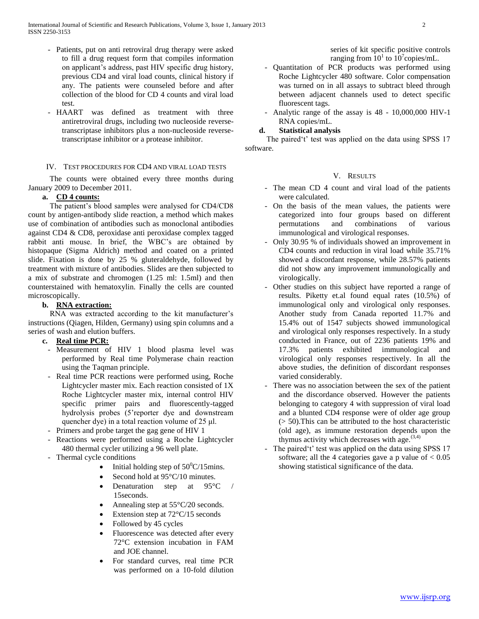- Patients, put on anti retroviral drug therapy were asked to fill a drug request form that compiles information on applicant's address, past HIV specific drug history, previous CD4 and viral load counts, clinical history if any. The patients were counseled before and after collection of the blood for CD 4 counts and viral load test.
- HAART was defined as treatment with three antiretroviral drugs, including two nucleoside reversetranscriptase inhibitors plus a non-nucleoside reversetranscriptase inhibitor or a protease inhibitor.

# IV. TEST PROCEDURES FOR CD4 AND VIRAL LOAD TESTS

 The counts were obtained every three months during January 2009 to December 2011.

# **a. CD 4 counts:**

 The patient's blood samples were analysed for CD4/CD8 count by antigen-antibody slide reaction, a method which makes use of combination of antibodies such as monoclonal antibodies against CD4 & CD8, peroxidase anti peroxidase complex tagged rabbit anti mouse. In brief, the WBC's are obtained by histopaque (Sigma Aldrich) method and coated on a printed slide. Fixation is done by 25 % gluteraldehyde, followed by treatment with mixture of antibodies. Slides are then subjected to a mix of substrate and chromogen (1.25 ml: 1.5ml) and then counterstained with hematoxylin. Finally the cells are counted microscopically.

# **b. RNA extraction:**

 RNA was extracted according to the kit manufacturer's instructions (Qiagen, Hilden, Germany) using spin columns and a series of wash and elution buffers.

# **c. Real time PCR:**

- Measurement of HIV 1 blood plasma level was performed by Real time Polymerase chain reaction using the Taqman principle.
- Real time PCR reactions were performed using, Roche Lightcycler master mix. Each reaction consisted of 1X Roche Lightcycler master mix, internal control HIV specific primer pairs and fluorescently-tagged hydrolysis probes (5'reporter dye and downstream quencher dye) in a total reaction volume of 25 μl.
- Primers and probe target the gag gene of HIV 1
- Reactions were performed using a Roche Lightcycler 480 thermal cycler utilizing a 96 well plate.
- Thermal cycle conditions
	- Initial holding step of  $50^{\circ}$ C/15mins.
	- Second hold at 95°C/10 minutes.
	- Denaturation step at 95°C / 15seconds.
	- Annealing step at 55°C/20 seconds.
	- Extension step at 72°C/15 seconds
	- Followed by 45 cycles
	- Fluorescence was detected after every 72°C extension incubation in FAM and JOE channel.
	- For standard curves, real time PCR was performed on a 10-fold dilution

series of kit specific positive controls ranging from  $10^1$  to  $10^7$ copies/mL.

- Quantitation of PCR products was performed using Roche Lightcycler 480 software. Color compensation was turned on in all assays to subtract bleed through between adjacent channels used to detect specific fluorescent tags.
- Analytic range of the assay is 48 10,000,000 HIV-1 RNA copies/mL.

# **d. Statistical analysis**

 The paired't' test was applied on the data using SPSS 17 software.

# V. RESULTS

- The mean CD 4 count and viral load of the patients were calculated.
- On the basis of the mean values, the patients were categorized into four groups based on different permutations and combinations of various immunological and virological responses.
- Only 30.95 % of individuals showed an improvement in CD4 counts and reduction in viral load while 35.71% showed a discordant response, while 28.57% patients did not show any improvement immunologically and virologically.
- Other studies on this subject have reported a range of results. Piketty et.al found equal rates (10.5%) of immunological only and virological only responses. Another study from Canada reported 11.7% and 15.4% out of 1547 subjects showed immunological and virological only responses respectively. In a study conducted in France, out of 2236 patients 19% and 17.3% patients exhibited immunological and virological only responses respectively. In all the above studies, the definition of discordant responses varied considerably.
- There was no association between the sex of the patient and the discordance observed. However the patients belonging to category 4 with suppression of viral load and a blunted CD4 response were of older age group (> 50).This can be attributed to the host characteristic (old age), as immune restoration depends upon the thymus activity which decreases with age.  $(3,4)$
- The paired't' test was applied on the data using SPSS 17 software; all the 4 categories gave a p value of  $< 0.05$ showing statistical significance of the data.